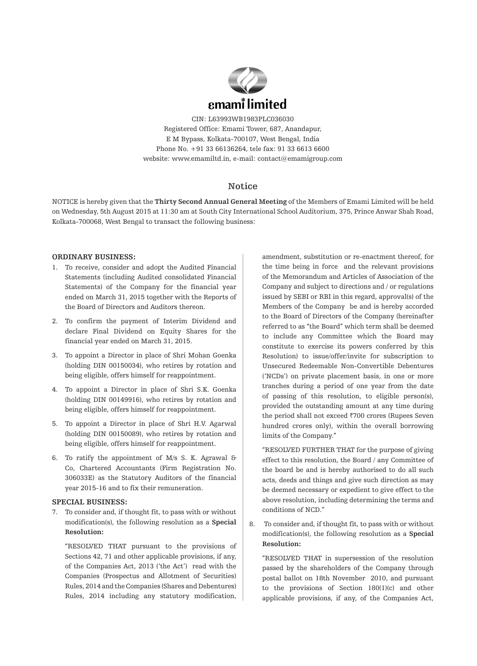

CIN: L63993WB1983PLC036030 Registered Office: Emami Tower, 687, Anandapur, E M Bypass, Kolkata-700107, West Bengal, India Phone No. +91 33 66136264, tele fax: 91 33 6613 6600 website: www.emamiltd.in, e-mail: contact@emamigroup.com

## **Notice**

NOTICE is hereby given that the **Thirty Second Annual General Meeting** of the Members of Emami Limited will be held on Wednesday, 5th August 2015 at 11:30 am at South City International School Auditorium, 375, Prince Anwar Shah Road, Kolkata-700068, West Bengal to transact the following business:

#### **ORDINARY BUSINESS:**

- 1. To receive, consider and adopt the Audited Financial Statements (including Audited consolidated Financial Statements) of the Company for the financial year ended on March 31, 2015 together with the Reports of the Board of Directors and Auditors thereon.
- 2. To confirm the payment of Interim Dividend and declare Final Dividend on Equity Shares for the financial year ended on March 31, 2015.
- 3. To appoint a Director in place of Shri Mohan Goenka (holding DIN 00150034), who retires by rotation and being eligible, offers himself for reappointment.
- 4. To appoint a Director in place of Shri S.K. Goenka (holding DIN 00149916), who retires by rotation and being eligible, offers himself for reappointment.
- 5. To appoint a Director in place of Shri H.V. Agarwal (holding DIN 00150089), who retires by rotation and being eligible, offers himself for reappointment.
- 6. To ratify the appointment of M/s S. K. Agrawal & Co, Chartered Accountants (Firm Registration No. 306033E) as the Statutory Auditors of the financial year 2015-16 and to fix their remuneration.

#### **SPECIAL BUSINESS:**

7. To consider and, if thought fit, to pass with or without modification(s), the following resolution as a **Special Resolution:**

"RESOLVED THAT pursuant to the provisions of Sections 42, 71 and other applicable provisions, if any, of the Companies Act, 2013 ('the Act') read with the Companies (Prospectus and Allotment of Securities) Rules, 2014 and the Companies (Shares and Debentures) Rules, 2014 including any statutory modification, amendment, substitution or re-enactment thereof, for the time being in force and the relevant provisions of the Memorandum and Articles of Association of the Company and subject to directions and / or regulations issued by SEBI or RBI in this regard, approval(s) of the Members of the Company be and is hereby accorded to the Board of Directors of the Company (hereinafter referred to as "the Board" which term shall be deemed to include any Committee which the Board may constitute to exercise its powers conferred by this Resolution) to issue/offer/invite for subscription to Unsecured Redeemable Non-Convertible Debentures ('NCDs') on private placement basis, in one or more tranches during a period of one year from the date of passing of this resolution, to eligible person(s), provided the outstanding amount at any time during the period shall not exceed  $\overline{z}$ 700 crores (Rupees Seven hundred crores only), within the overall borrowing limits of the Company."

"RESOLVED FURTHER THAT for the purpose of giving effect to this resolution, the Board / any Committee of the board be and is hereby authorised to do all such acts, deeds and things and give such direction as may be deemed necessary or expedient to give effect to the above resolution, including determining the terms and conditions of NCD."

8. To consider and, if thought fit, to pass with or without modification(s), the following resolution as a **Special Resolution:**

"RESOLVED THAT in supersession of the resolution passed by the shareholders of the Company through postal ballot on 18th November 2010, and pursuant to the provisions of Section 180(1)(c) and other applicable provisions, if any, of the Companies Act,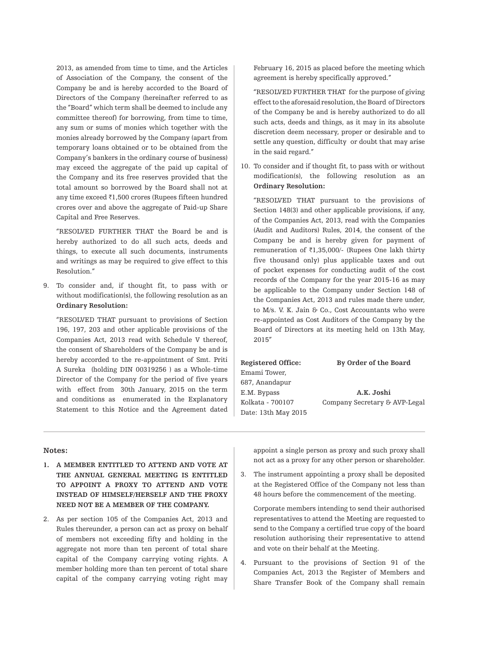2013, as amended from time to time, and the Articles of Association of the Company, the consent of the Company be and is hereby accorded to the Board of Directors of the Company (hereinafter referred to as the "Board" which term shall be deemed to include any committee thereof) for borrowing, from time to time, any sum or sums of monies which together with the monies already borrowed by the Company (apart from temporary loans obtained or to be obtained from the Company's bankers in the ordinary course of business) may exceed the aggregate of the paid up capital of the Company and its free reserves provided that the total amount so borrowed by the Board shall not at any time exceed  $\bar{\tau}$ 1,500 crores (Rupees fifteen hundred crores over and above the aggregate of Paid-up Share Capital and Free Reserves.

"RESOLVED FURTHER THAT the Board be and is hereby authorized to do all such acts, deeds and things, to execute all such documents, instruments and writings as may be required to give effect to this Resolution."

9. To consider and, if thought fit, to pass with or without modification(s), the following resolution as an **Ordinary Resolution:**

"RESOLVED THAT pursuant to provisions of Section 196, 197, 203 and other applicable provisions of the Companies Act, 2013 read with Schedule V thereof, the consent of Shareholders of the Company be and is hereby accorded to the re-appointment of Smt. Priti A Sureka (holding DIN 00319256 ) as a Whole-time Director of the Company for the period of five years with effect from 30th January, 2015 on the term and conditions as enumerated in the Explanatory Statement to this Notice and the Agreement dated February 16, 2015 as placed before the meeting which agreement is hereby specifically approved."

"RESOLVED FURTHER THAT for the purpose of giving effect to the aforesaid resolution, the Board of Directors of the Company be and is hereby authorized to do all such acts, deeds and things, as it may in its absolute discretion deem necessary, proper or desirable and to settle any question, difficulty or doubt that may arise in the said regard."

10. To consider and if thought fit, to pass with or without modification(s), the following resolution as an **Ordinary Resolution:**

"RESOLVED THAT pursuant to the provisions of Section 148(3) and other applicable provisions, if any, of the Companies Act, 2013, read with the Companies (Audit and Auditors) Rules, 2014, the consent of the Company be and is hereby given for payment of remuneration of  $\bar{\tau}$ 1,35,000/- (Rupees One lakh thirty five thousand only) plus applicable taxes and out of pocket expenses for conducting audit of the cost records of the Company for the year 2015-16 as may be applicable to the Company under Section 148 of the Companies Act, 2013 and rules made there under, to M/s. V. K. Jain & Co., Cost Accountants who were re-appointed as Cost Auditors of the Company by the Board of Directors at its meeting held on 13th May, 2015"

**Registered Office: By Order of the Board** Emami Tower, 687, Anandapur E.M. Bypass **A.K. Joshi** Date: 13th May 2015

Kolkata - 700107 Company Secretary & AVP-Legal

#### **Notes:**

- **1. A MEMBER ENTITLED TO ATTEND AND VOTE AT THE ANNUAL GENERAL MEETING IS ENTITLED TO APPOINT A PROXY TO ATTEND AND VOTE INSTEAD OF HIMSELF/HERSELF AND THE PROXY NEED NOT BE A MEMBER OF THE COMPANY.**
- 2. As per section 105 of the Companies Act, 2013 and Rules thereunder, a person can act as proxy on behalf of members not exceeding fifty and holding in the aggregate not more than ten percent of total share capital of the Company carrying voting rights. A member holding more than ten percent of total share capital of the company carrying voting right may

appoint a single person as proxy and such proxy shall not act as a proxy for any other person or shareholder.

3. The instrument appointing a proxy shall be deposited at the Registered Office of the Company not less than 48 hours before the commencement of the meeting.

Corporate members intending to send their authorised representatives to attend the Meeting are requested to send to the Company a certified true copy of the board resolution authorising their representative to attend and vote on their behalf at the Meeting.

4. Pursuant to the provisions of Section 91 of the Companies Act, 2013 the Register of Members and Share Transfer Book of the Company shall remain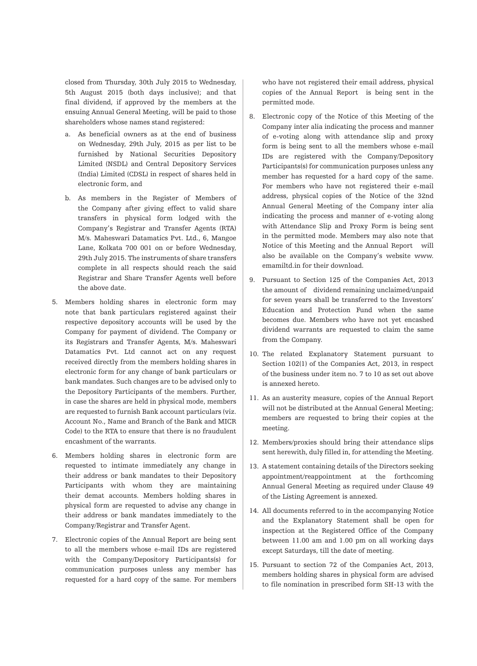closed from Thursday, 30th July 2015 to Wednesday, 5th August 2015 (both days inclusive); and that final dividend, if approved by the members at the ensuing Annual General Meeting, will be paid to those shareholders whose names stand registered:

- a. As beneficial owners as at the end of business on Wednesday, 29th July, 2015 as per list to be furnished by National Securities Depository Limited (NSDL) and Central Depository Services (India) Limited (CDSL) in respect of shares held in electronic form, and
- b. As members in the Register of Members of the Company after giving effect to valid share transfers in physical form lodged with the Company's Registrar and Transfer Agents (RTA) M/s. Maheswari Datamatics Pvt. Ltd., 6, Mangoe Lane, Kolkata 700 001 on or before Wednesday, 29th July 2015. The instruments of share transfers complete in all respects should reach the said Registrar and Share Transfer Agents well before the above date.
- 5. Members holding shares in electronic form may note that bank particulars registered against their respective depository accounts will be used by the Company for payment of dividend. The Company or its Registrars and Transfer Agents, M/s. Maheswari Datamatics Pvt. Ltd cannot act on any request received directly from the members holding shares in electronic form for any change of bank particulars or bank mandates. Such changes are to be advised only to the Depository Participants of the members. Further, in case the shares are held in physical mode, members are requested to furnish Bank account particulars (viz. Account No., Name and Branch of the Bank and MICR Code) to the RTA to ensure that there is no fraudulent encashment of the warrants.
- 6. Members holding shares in electronic form are requested to intimate immediately any change in their address or bank mandates to their Depository Participants with whom they are maintaining their demat accounts. Members holding shares in physical form are requested to advise any change in their address or bank mandates immediately to the Company/Registrar and Transfer Agent.
- 7. Electronic copies of the Annual Report are being sent to all the members whose e-mail IDs are registered with the Company/Depository Participants(s) for communication purposes unless any member has requested for a hard copy of the same. For members

who have not registered their email address, physical copies of the Annual Report is being sent in the permitted mode.

- 8. Electronic copy of the Notice of this Meeting of the Company inter alia indicating the process and manner of e-voting along with attendance slip and proxy form is being sent to all the members whose e-mail IDs are registered with the Company/Depository Participants(s) for communication purposes unless any member has requested for a hard copy of the same. For members who have not registered their e-mail address, physical copies of the Notice of the 32nd Annual General Meeting of the Company inter alia indicating the process and manner of e-voting along with Attendance Slip and Proxy Form is being sent in the permitted mode. Members may also note that Notice of this Meeting and the Annual Report will also be available on the Company's website www. emamiltd.in for their download.
- 9. Pursuant to Section 125 of the Companies Act, 2013 the amount of dividend remaining unclaimed/unpaid for seven years shall be transferred to the Investors' Education and Protection Fund when the same becomes due. Members who have not yet encashed dividend warrants are requested to claim the same from the Company.
- 10. The related Explanatory Statement pursuant to Section 102(1) of the Companies Act, 2013, in respect of the business under item no. 7 to 10 as set out above is annexed hereto.
- 11. As an austerity measure, copies of the Annual Report will not be distributed at the Annual General Meeting; members are requested to bring their copies at the meeting.
- 12. Members/proxies should bring their attendance slips sent herewith, duly filled in, for attending the Meeting.
- 13. A statement containing details of the Directors seeking appointment/reappointment at the forthcoming Annual General Meeting as required under Clause 49 of the Listing Agreement is annexed.
- 14. All documents referred to in the accompanying Notice and the Explanatory Statement shall be open for inspection at the Registered Office of the Company between 11.00 am and 1.00 pm on all working days except Saturdays, till the date of meeting.
- 15. Pursuant to section 72 of the Companies Act, 2013, members holding shares in physical form are advised to file nomination in prescribed form SH-13 with the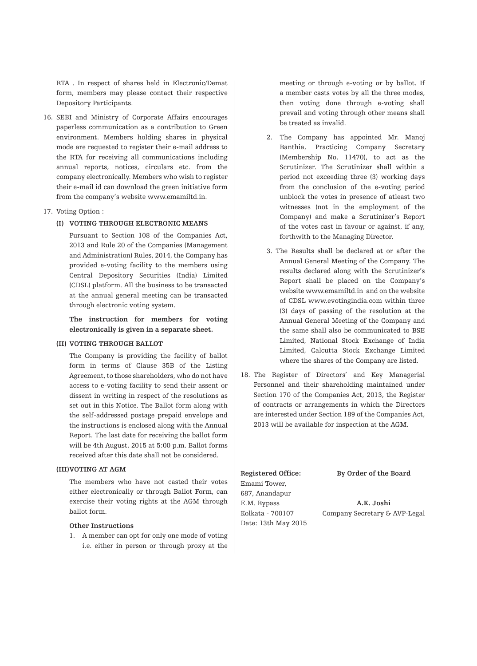RTA . In respect of shares held in Electronic/Demat form, members may please contact their respective Depository Participants.

16. SEBI and Ministry of Corporate Affairs encourages paperless communication as a contribution to Green environment. Members holding shares in physical mode are requested to register their e-mail address to the RTA for receiving all communications including annual reports, notices, circulars etc. from the company electronically. Members who wish to register their e-mail id can download the green initiative form from the company's website www.emamiltd.in.

#### 17. Voting Option :

#### **(I) VOTING THROUGH ELECTRONIC MEANS**

Pursuant to Section 108 of the Companies Act, 2013 and Rule 20 of the Companies (Management and Administration) Rules, 2014, the Company has provided e-voting facility to the members using Central Depository Securities (India) Limited (CDSL) platform. All the business to be transacted at the annual general meeting can be transacted through electronic voting system.

**The instruction for members for voting electronically is given in a separate sheet.**

#### **(II) VOTING THROUGH BALLOT**

The Company is providing the facility of ballot form in terms of Clause 35B of the Listing Agreement, to those shareholders, who do not have access to e-voting facility to send their assent or dissent in writing in respect of the resolutions as set out in this Notice. The Ballot form along with the self-addressed postage prepaid envelope and the instructions is enclosed along with the Annual Report. The last date for receiving the ballot form will be 4th August, 2015 at 5:00 p.m. Ballot forms received after this date shall not be considered.

#### **(III)VOTING AT AGM**

The members who have not casted their votes either electronically or through Ballot Form, can exercise their voting rights at the AGM through ballot form.

#### **Other Instructions**

1. A member can opt for only one mode of voting i.e. either in person or through proxy at the meeting or through e-voting or by ballot. If a member casts votes by all the three modes, then voting done through e-voting shall prevail and voting through other means shall be treated as invalid.

- 2. The Company has appointed Mr. Manoj Banthia, Practicing Company Secretary (Membership No. 11470), to act as the Scrutinizer. The Scrutinizer shall within a period not exceeding three (3) working days from the conclusion of the e-voting period unblock the votes in presence of atleast two witnesses (not in the employment of the Company) and make a Scrutinizer's Report of the votes cast in favour or against, if any, forthwith to the Managing Director.
- 3. The Results shall be declared at or after the Annual General Meeting of the Company. The results declared along with the Scrutinizer's Report shall be placed on the Company's website www.emamiltd.in and on the website of CDSL www.evotingindia.com within three (3) days of passing of the resolution at the Annual General Meeting of the Company and the same shall also be communicated to BSE Limited, National Stock Exchange of India Limited, Calcutta Stock Exchange Limited where the shares of the Company are listed.
- 18. The Register of Directors' and Key Managerial Personnel and their shareholding maintained under Section 170 of the Companies Act, 2013, the Register of contracts or arrangements in which the Directors are interested under Section 189 of the Companies Act, 2013 will be available for inspection at the AGM.

**Registered Office: By Order of the Board** Emami Tower, 687, Anandapur E.M. Bypass **A.K. Joshi** Date: 13th May 2015

Kolkata - 700107 Company Secretary & AVP-Legal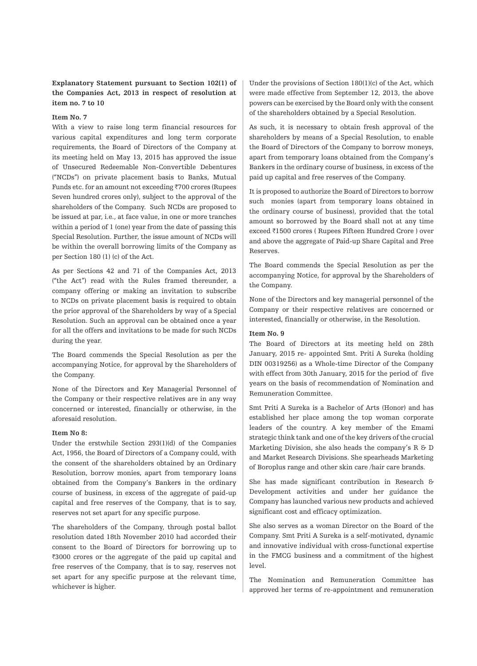### **Explanatory Statement pursuant to Section 102(1) of the Companies Act, 2013 in respect of resolution at item no. 7 to 10**

#### **Item No. 7**

With a view to raise long term financial resources for various capital expenditures and long term corporate requirements, the Board of Directors of the Company at its meeting held on May 13, 2015 has approved the issue of Unsecured Redeemable Non-Convertible Debentures ("NCDs") on private placement basis to Banks, Mutual Funds etc. for an amount not exceeding  $\overline{5700}$  crores (Rupees Seven hundred crores only), subject to the approval of the shareholders of the Company. Such NCDs are proposed to be issued at par, i.e., at face value, in one or more tranches within a period of 1 (one) year from the date of passing this Special Resolution. Further, the issue amount of NCDs will be within the overall borrowing limits of the Company as per Section 180 (1) (c) of the Act.

As per Sections 42 and 71 of the Companies Act, 2013 ("the Act") read with the Rules framed thereunder, a company offering or making an invitation to subscribe to NCDs on private placement basis is required to obtain the prior approval of the Shareholders by way of a Special Resolution. Such an approval can be obtained once a year for all the offers and invitations to be made for such NCDs during the year.

The Board commends the Special Resolution as per the accompanying Notice, for approval by the Shareholders of the Company.

None of the Directors and Key Managerial Personnel of the Company or their respective relatives are in any way concerned or interested, financially or otherwise, in the aforesaid resolution.

#### **Item No 8:**

Under the erstwhile Section 293(1)(d) of the Companies Act, 1956, the Board of Directors of a Company could, with the consent of the shareholders obtained by an Ordinary Resolution, borrow monies, apart from temporary loans obtained from the Company's Bankers in the ordinary course of business, in excess of the aggregate of paid-up capital and free reserves of the Company, that is to say, reserves not set apart for any specific purpose.

The shareholders of the Company, through postal ballot resolution dated 18th November 2010 had accorded their consent to the Board of Directors for borrowing up to ₹3000 crores or the aggregate of the paid up capital and free reserves of the Company, that is to say, reserves not set apart for any specific purpose at the relevant time, whichever is higher.

Under the provisions of Section 180(1)(c) of the Act, which were made effective from September 12, 2013, the above powers can be exercised by the Board only with the consent of the shareholders obtained by a Special Resolution.

As such, it is necessary to obtain fresh approval of the shareholders by means of a Special Resolution, to enable the Board of Directors of the Company to borrow moneys, apart from temporary loans obtained from the Company's Bankers in the ordinary course of business, in excess of the paid up capital and free reserves of the Company.

It is proposed to authorize the Board of Directors to borrow such monies (apart from temporary loans obtained in the ordinary course of business), provided that the total amount so borrowed by the Board shall not at any time exceed ₹1500 crores ( Rupees Fifteen Hundred Crore ) over and above the aggregate of Paid-up Share Capital and Free Reserves.

The Board commends the Special Resolution as per the accompanying Notice, for approval by the Shareholders of the Company.

None of the Directors and key managerial personnel of the Company or their respective relatives are concerned or interested, financially or otherwise, in the Resolution.

#### **Item No. 9**

The Board of Directors at its meeting held on 28th January, 2015 re- appointed Smt. Priti A Sureka (holding DIN 00319256) as a Whole-time Director of the Company with effect from 30th January, 2015 for the period of five years on the basis of recommendation of Nomination and Remuneration Committee.

Smt Priti A Sureka is a Bachelor of Arts (Honor) and has established her place among the top woman corporate leaders of the country. A key member of the Emami strategic think tank and one of the key drivers of the crucial Marketing Division, she also heads the company's R & D and Market Research Divisions. She spearheads Marketing of Boroplus range and other skin care /hair care brands.

She has made significant contribution in Research & Development activities and under her guidance the Company has launched various new products and achieved significant cost and efficacy optimization.

She also serves as a woman Director on the Board of the Company. Smt Priti A Sureka is a self-motivated, dynamic and innovative individual with cross-functional expertise in the FMCG business and a commitment of the highest level.

The Nomination and Remuneration Committee has approved her terms of re-appointment and remuneration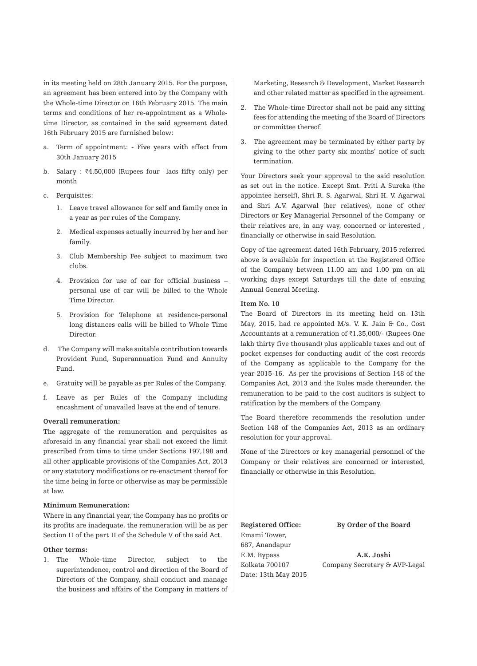in its meeting held on 28th January 2015. For the purpose, an agreement has been entered into by the Company with the Whole-time Director on 16th February 2015. The main terms and conditions of her re-appointment as a Wholetime Director, as contained in the said agreement dated 16th February 2015 are furnished below:

- a. Term of appointment: Five years with effect from 30th January 2015
- b. Salary :  $\bar{z}4,50,000$  (Rupees four lacs fifty only) per month
- c. Perquisites:
	- 1. Leave travel allowance for self and family once in a year as per rules of the Company.
	- 2. Medical expenses actually incurred by her and her family.
	- 3. Club Membership Fee subject to maximum two clubs.
	- 4. Provision for use of car for official business personal use of car will be billed to the Whole Time Director.
	- 5. Provision for Telephone at residence-personal long distances calls will be billed to Whole Time Director.
- d. The Company will make suitable contribution towards Provident Fund, Superannuation Fund and Annuity Fund.
- e. Gratuity will be payable as per Rules of the Company.
- f. Leave as per Rules of the Company including encashment of unavailed leave at the end of tenure.

#### **Overall remuneration:**

The aggregate of the remuneration and perquisites as aforesaid in any financial year shall not exceed the limit prescribed from time to time under Sections 197,198 and all other applicable provisions of the Companies Act, 2013 or any statutory modifications or re-enactment thereof for the time being in force or otherwise as may be permissible at law.

#### **Minimum Remuneration:**

Where in any financial year, the Company has no profits or its profits are inadequate, the remuneration will be as per Section II of the part II of the Schedule V of the said Act.

#### **Other terms:**

1. The Whole-time Director, subject to the superintendence, control and direction of the Board of Directors of the Company, shall conduct and manage the business and affairs of the Company in matters of Marketing, Research & Development, Market Research and other related matter as specified in the agreement.

- 2. The Whole-time Director shall not be paid any sitting fees for attending the meeting of the Board of Directors or committee thereof.
- 3. The agreement may be terminated by either party by giving to the other party six months' notice of such termination.

Your Directors seek your approval to the said resolution as set out in the notice. Except Smt. Priti A Sureka (the appointee herself), Shri R. S. Agarwal, Shri H. V. Agarwal and Shri A.V. Agarwal (her relatives), none of other Directors or Key Managerial Personnel of the Company or their relatives are, in any way, concerned or interested , financially or otherwise in said Resolution.

Copy of the agreement dated 16th February, 2015 referred above is available for inspection at the Registered Office of the Company between 11.00 am and 1.00 pm on all working days except Saturdays till the date of ensuing Annual General Meeting.

#### **Item No. 10**

The Board of Directors in its meeting held on 13th May, 2015, had re appointed M/s. V. K. Jain & Co., Cost Accountants at a remuneration of  $\bar{\tau}$ 1,35,000/- (Rupees One lakh thirty five thousand) plus applicable taxes and out of pocket expenses for conducting audit of the cost records of the Company as applicable to the Company for the year 2015-16. As per the provisions of Section 148 of the Companies Act, 2013 and the Rules made thereunder, the remuneration to be paid to the cost auditors is subject to ratification by the members of the Company.

The Board therefore recommends the resolution under Section 148 of the Companies Act, 2013 as an ordinary resolution for your approval.

None of the Directors or key managerial personnel of the Company or their relatives are concerned or interested, financially or otherwise in this Resolution.

Emami Tower, 687, Anandapur E.M. Bypass **A.K. Joshi** Date: 13th May 2015

**Registered Office: By Order of the Board**

Kolkata 700107 Company Secretary & AVP-Legal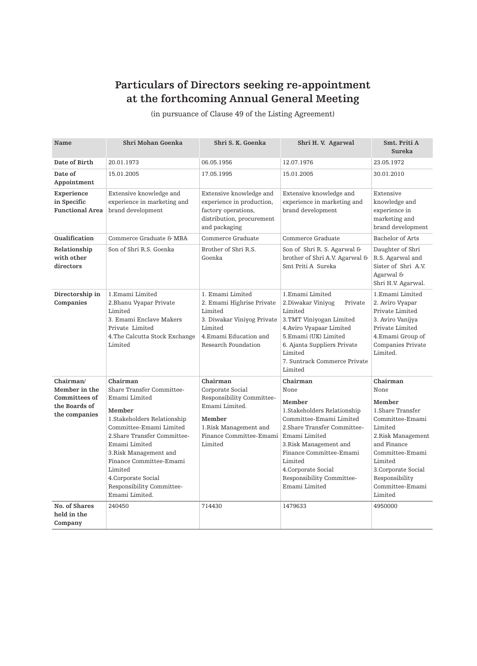# **Particulars of Directors seeking re-appointment at the forthcoming Annual General Meeting**

(in pursuance of Clause 49 of the Listing Agreement)

| Name                                                | Shri Mohan Goenka                                                                                                                                                                                                                                                      | Shri S. K. Goenka                                                                                                                                 | Shri H. V. Agarwal                                                                                                                                                                                                                                    | Smt. Priti A<br>Sureka                                                                                                                                                                             |
|-----------------------------------------------------|------------------------------------------------------------------------------------------------------------------------------------------------------------------------------------------------------------------------------------------------------------------------|---------------------------------------------------------------------------------------------------------------------------------------------------|-------------------------------------------------------------------------------------------------------------------------------------------------------------------------------------------------------------------------------------------------------|----------------------------------------------------------------------------------------------------------------------------------------------------------------------------------------------------|
| Date of Birth                                       | 20.01.1973                                                                                                                                                                                                                                                             | 06.05.1956                                                                                                                                        | 12.07.1976                                                                                                                                                                                                                                            | 23.05.1972                                                                                                                                                                                         |
| Date of<br>Appointment                              | 15.01.2005                                                                                                                                                                                                                                                             | 17.05.1995                                                                                                                                        | 15.01.2005                                                                                                                                                                                                                                            | 30.01.2010                                                                                                                                                                                         |
| Experience<br>in Specific<br><b>Functional Area</b> | Extensive knowledge and<br>experience in marketing and<br>brand development                                                                                                                                                                                            | Extensive knowledge and<br>experience in production,<br>factory operations,<br>distribution, procurement<br>and packaging                         | Extensive knowledge and<br>experience in marketing and<br>brand development                                                                                                                                                                           | Extensive<br>knowledge and<br>experience in<br>marketing and<br>$\operatorname*{brand}$ development                                                                                                |
| Qualification                                       | Commerce Graduate & MBA                                                                                                                                                                                                                                                | Commerce Graduate                                                                                                                                 | Commerce Graduate                                                                                                                                                                                                                                     | Bachelor of Arts                                                                                                                                                                                   |
| Relationship<br>with other<br>directors             | Son of Shri R.S. Goenka                                                                                                                                                                                                                                                | Brother of Shri R.S.<br>Goenka                                                                                                                    | Son of Shri R. S. Agarwal &<br>brother of Shri A.V. Agarwal &<br>Smt Priti A Sureka                                                                                                                                                                   | Daughter of Shri<br>R.S. Agarwal and<br>Sister of Shri A.V.<br>Agarwal &<br>Shri H.V. Agarwal.                                                                                                     |
| Directorship in<br>Companies                        | 1.Emami Limited<br>2.Bhanu Vyapar Private<br>Limited<br>3. Emami Enclave Makers<br>Private Limited<br>4. The Calcutta Stock Exchange<br>Limited                                                                                                                        | 1. Emami Limited<br>2. Emami Highrise Private<br>Limited<br>3. Diwakar Viniyog Private<br>Limited<br>4.Emami Education and<br>Research Foundation | 1.Emami Limited<br>2.Diwakar Viniyog<br>Private<br>Limited<br>3.TMT Viniyogan Limited<br>4. Aviro Vyapaar Limited<br>5.Emami (UK) Limited<br>6. Ajanta Suppliers Private<br>Limited<br>7. Suntrack Commerce Private<br>Limited                        | 1.Emami Limited<br>2. Aviro Vyapar<br>Private Limited<br>3. Aviro Vanijya<br>Private Limited<br>4.Emami Group of<br>Companies Private<br>Limited.                                                  |
| Chairman/                                           | Chairman                                                                                                                                                                                                                                                               | Chairman                                                                                                                                          | Chairman                                                                                                                                                                                                                                              | Chairman                                                                                                                                                                                           |
| Member in the                                       | <b>Share Transfer Committee-</b>                                                                                                                                                                                                                                       | Corporate Social                                                                                                                                  | None                                                                                                                                                                                                                                                  | None                                                                                                                                                                                               |
| Committees of<br>the Boards of<br>the companies     | Emami Limited<br>Member<br>1.Stakeholders Relationship<br>Committee-Emami Limited<br>2.Share Transfer Committee-<br>Emami Limited<br>3. Risk Management and<br>Finance Committee-Emami<br>Limited<br>4.Corporate Social<br>Responsibility Committee-<br>Emami Limited. | Responsibility Committee-<br>Emami Limited.<br>Member<br>1. Risk Management and<br>Finance Committee-Emami<br>Limited                             | Member<br>1.Stakeholders Relationship<br>Committee-Emami Limited<br>2. Share Transfer Committee-<br>Emami Limited<br>3. Risk Management and<br>Finance Committee-Emami<br>Limited<br>4.Corporate Social<br>Responsibility Committee-<br>Emami Limited | Member<br>1.Share Transfer<br>Committee-Emami<br>Limited<br>2. Risk Management<br>and Finance<br>Committee-Emami<br>Limited<br>3. Corporate Social<br>Responsibility<br>Committee-Emami<br>Limited |
| No. of Shares<br>held in the<br>Company             | 240450                                                                                                                                                                                                                                                                 | 714430                                                                                                                                            | 1479633                                                                                                                                                                                                                                               | 4950000                                                                                                                                                                                            |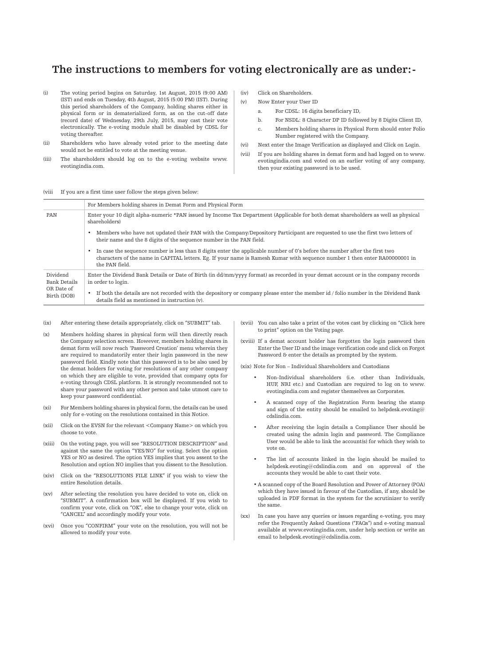# **The instructions to members for voting electronically are as under:-**

- (i) The voting period begins on Saturday, 1st August, 2015 (9:00 AM) (IST) and ends on Tuesday, 4th August, 2015 (5:00 PM) (IST). During this period shareholders of the Company, holding shares either in physical form or in dematerialized form, as on the cut-off date (record date) of Wednesday, 29th July, 2015, may cast their vote electronically. The e-voting module shall be disabled by CDSL for voting thereafter.
- (ii) Shareholders who have already voted prior to the meeting date would not be entitled to vote at the meeting venue.
- (iii) The shareholders should log on to the e-voting website www. evotingindia.com.
- (iv) Click on Shareholders.
- (v) Now Enter your User ID
	- a. For CDSL: 16 digits beneficiary ID,
	- b. For NSDL: 8 Character DP ID followed by 8 Digits Client ID,
	- c. Members holding shares in Physical Form should enter Folio Number registered with the Company.

(vi) Next enter the Image Verification as displayed and Click on Login.

(vii) If you are holding shares in demat form and had logged on to www. evotingindia.com and voted on an earlier voting of any company, then your existing password is to be used.

#### (viii If you are a first time user follow the steps given below:

|                                                       | For Members holding shares in Demat Form and Physical Form                                                                                                                                                                                                                  |
|-------------------------------------------------------|-----------------------------------------------------------------------------------------------------------------------------------------------------------------------------------------------------------------------------------------------------------------------------|
| PAN                                                   | Enter your 10 digit alpha-numeric *PAN issued by Income Tax Department (Applicable for both demat shareholders as well as physical<br>shareholders)                                                                                                                         |
|                                                       | Members who have not updated their PAN with the Company/Depository Participant are requested to use the first two letters of<br>their name and the 8 digits of the sequence number in the PAN field.                                                                        |
|                                                       | In case the sequence number is less than 8 digits enter the applicable number of 0's before the number after the first two<br>characters of the name in CAPITAL letters. Eg. If your name is Ramesh Kumar with sequence number 1 then enter RA00000001 in<br>the PAN field. |
| Dividend<br>Bank Details<br>OR Date of<br>Birth (DOB) | Enter the Dividend Bank Details or Date of Birth (in dd/mm/yyyy format) as recorded in your demat account or in the company records<br>in order to login.                                                                                                                   |
|                                                       | If both the details are not recorded with the depository or company please enter the member id / folio number in the Dividend Bank<br>$\bullet$<br>details field as mentioned in instruction (y).                                                                           |

#### (ix) After entering these details appropriately, click on "SUBMIT" tab.

- (x) Members holding shares in physical form will then directly reach the Company selection screen. However, members holding shares in demat form will now reach 'Password Creation' menu wherein they are required to mandatorily enter their login password in the new password field. Kindly note that this password is to be also used by the demat holders for voting for resolutions of any other company on which they are eligible to vote, provided that company opts for e-voting through CDSL platform. It is strongly recommended not to share your password with any other person and take utmost care to keep your password confidential.
- (xi) For Members holding shares in physical form, the details can be used only for e-voting on the resolutions contained in this Notice.
- (xii) Click on the EVSN for the relevant <Company Name> on which you choose to vote.
- (xiii) On the voting page, you will see "RESOLUTION DESCRIPTION" and against the same the option "YES/NO" for voting. Select the option YES or NO as desired. The option YES implies that you assent to the Resolution and option NO implies that you dissent to the Resolution.
- (xiv) Click on the "RESOLUTIONS FILE LINK" if you wish to view the entire Resolution details.
- (xv) After selecting the resolution you have decided to vote on, click on "SUBMIT". A confirmation box will be displayed. If you wish to confirm your vote, click on "OK", else to change your vote, click on "CANCEL" and accordingly modify your vote.
- (xvi) Once you "CONFIRM" your vote on the resolution, you will not be allowed to modify your vote.
- (xvii) You can also take a print of the votes cast by clicking on "Click here to print" option on the Voting page.
- (xviii) If a demat account holder has forgotten the login password then Enter the User ID and the image verification code and click on Forgot Password & enter the details as prompted by the system.

(xix) Note for Non – Individual Shareholders and Custodians

- Non-Individual shareholders (i.e. other than Individuals, HUF, NRI etc.) and Custodian are required to log on to www. evotingindia.com and register themselves as Corporates.
- A scanned copy of the Registration Form bearing the stamp and sign of the entity should be emailed to helpdesk.evoting@ cdslindia.com.
- After receiving the login details a Compliance User should be created using the admin login and password. The Compliance User would be able to link the account(s) for which they wish to vote on.
- The list of accounts linked in the login should be mailed to helpdesk.evoting@cdslindia.com and on approval of the accounts they would be able to cast their vote.
- A scanned copy of the Board Resolution and Power of Attorney (POA) which they have issued in favour of the Custodian, if any, should be uploaded in PDF format in the system for the scrutinizer to verify the same.
- (xx) In case you have any queries or issues regarding e-voting, you may refer the Frequently Asked Questions ("FAQs") and e-voting manual available at www.evotingindia.com, under help section or write an email to helpdesk.evoting@cdslindia.com.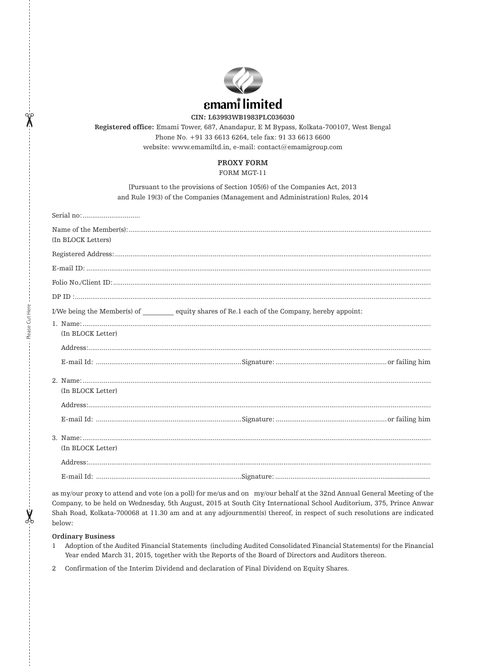

**CIN: L63993WB1983PLC036030**

**Registered office:** Emami Tower, 687, Anandapur, E M Bypass, Kolkata-700107, West Bengal Phone No. +91 33 6613 6264, tele fax: 91 33 6613 6600 website: www.emamiltd.in, e-mail: contact@emamigroup.com

# **PROXY FORM**

FORM MGT-11

[Pursuant to the provisions of Section 105(6) of the Companies Act, 2013 and Rule 19(3) of the Companies (Management and Administration) Rules, 2014

| (In BLOCK Letters)                                                                     |
|----------------------------------------------------------------------------------------|
|                                                                                        |
|                                                                                        |
|                                                                                        |
|                                                                                        |
| I/We being the Member(s) of equity shares of Re.1 each of the Company, hereby appoint: |
| (In BLOCK Letter)                                                                      |
|                                                                                        |
| (In BLOCK Letter)                                                                      |
|                                                                                        |
| (In BLOCK Letter)                                                                      |
|                                                                                        |
|                                                                                        |

as my/our proxy to attend and vote (on a poll) for me/us and on my/our behalf at the 32nd Annual General Meeting of the Company, to be held on Wednesday, 5th August, 2015 at South City International School Auditorium, 375, Prince Anwar Shah Road, Kolkata-700068 at 11.30 am and at any adjournment(s) thereof, in respect of such resolutions are indicated below:

#### **Ordinary Business**

Please Cut Here

 $\sum_{0}^{n}$ 

Please Cut Here

- 1 Adoption of the Audited Financial Statements (including Audited Consolidated Financial Statements) for the Financial Year ended March 31, 2015, together with the Reports of the Board of Directors and Auditors thereon.
- 2 Confirmation of the Interim Dividend and declaration of Final Dividend on Equity Shares.